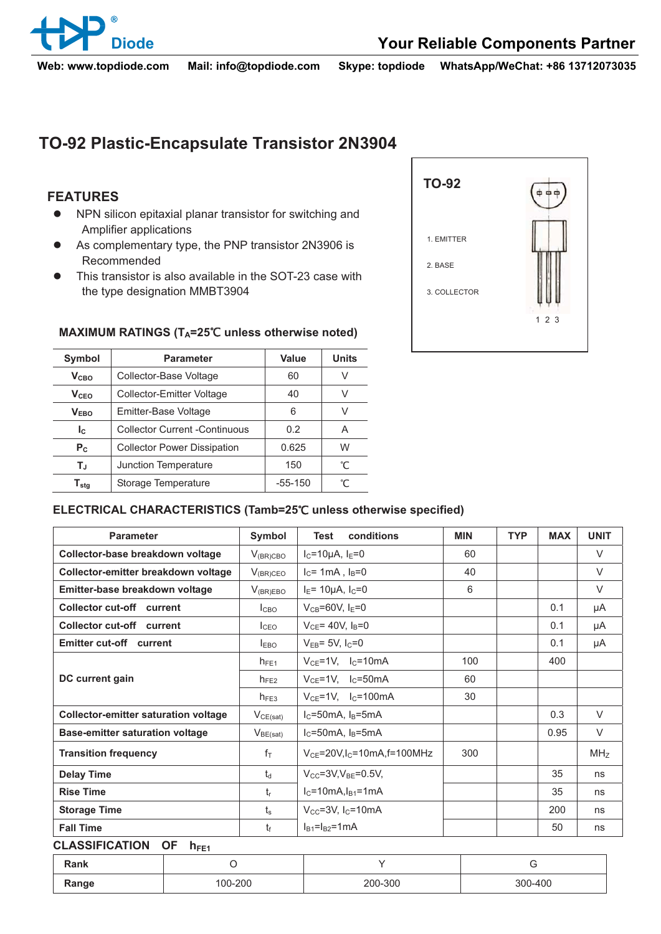

**Web: www.topdiode.com Mail: info@topdiode.com Skype: topdiode WhatsApp/WeChat: +86 13712073035**

# **TO-92 Plastic-Encapsulate Transistor 2N3904**

## **FEATURES**

- NPN silicon epitaxial planar transistor for switching and Amplifier applications
- $\bullet$  As complementary type, the PNP transistor 2N3906 is Recommended
- $\bullet$  This transistor is also available in the SOT-23 case with the type designation MMBT3904

| 00  |
|-----|
|     |
|     |
|     |
| 123 |
|     |

### MAXIMUM RATINGS (T<sub>A</sub>=25°C unless otherwise noted)

| <b>Symbol</b>                | <b>Parameter</b>                     | Value     | <b>Units</b> |
|------------------------------|--------------------------------------|-----------|--------------|
| V <sub>CBO</sub>             | Collector-Base Voltage               | 60        |              |
| $V_{CFO}$                    | <b>Collector-Emitter Voltage</b>     | 40        | V            |
| V <sub>FRO</sub>             | Emitter-Base Voltage                 | 6         |              |
| Ic                           | <b>Collector Current -Continuous</b> | 0.2       | А            |
| $P_{C}$                      | <b>Collector Power Dissipation</b>   | 0.625     | W            |
| Tu,                          | Junction Temperature                 | 150       | ℃            |
| ${\mathsf T}_{\textsf{stg}}$ | Storage Temperature                  | $-55-150$ |              |

#### ELECTRICAL CHARACTERISTICS (Tamb=25°C unless otherwise specified)

| <b>Parameter</b>                            | Symbol           | conditions<br><b>Test</b>                   | <b>MIN</b> | <b>TYP</b> | <b>MAX</b> | <b>UNIT</b>     |
|---------------------------------------------|------------------|---------------------------------------------|------------|------------|------------|-----------------|
| Collector-base breakdown voltage            | $V_{(BR)CBO}$    | $I_C = 10 \mu A$ , $I_E = 0$                | 60         |            |            | $\vee$          |
| Collector-emitter breakdown voltage         | $V_{(BR)CEO}$    | $I_c = 1mA$ , $I_B = 0$                     | 40         |            |            | $\vee$          |
| Emitter-base breakdown voltage              | $V_{(BR)EBO}$    | $I_E$ = 10µA, $I_C$ =0                      | 6          |            |            | $\vee$          |
| Collector cut-off current                   | I <sub>CBO</sub> | $V_{CB} = 60V, I_E = 0$                     |            |            | 0.1        | μA              |
| Collector cut-off current                   | I <sub>CEO</sub> | $V_{CE}$ = 40V, $I_B$ =0                    |            |            | 0.1        | μA              |
| Emitter cut-off current                     | $I_{EBO}$        | $V_{EB} = 5V$ , $I_C = 0$                   |            |            | 0.1        | μA              |
|                                             | $h_{FE1}$        | $V_{CE}$ =1V, $I_C$ =10mA                   | 100        |            | 400        |                 |
| DC current gain                             | $h_{FE2}$        | $V_{CE}$ =1V, $I_C$ =50mA                   | 60         |            |            |                 |
|                                             | $h_{FE3}$        | $V_{CE}$ =1V, $I_C$ =100mA                  | 30         |            |            |                 |
| <b>Collector-emitter saturation voltage</b> | $V_{CE(sat)}$    | $I_C = 50mA$ , $I_B = 5mA$                  |            |            | 0.3        | $\vee$          |
| Base-emitter saturation voltage             | $V_{BE(sat)}$    | $IC=50mA$ , $IB=5mA$                        |            |            | 0.95       | $\vee$          |
| <b>Transition frequency</b>                 | $f_{\text{T}}$   | $V_{CE}$ =20V,I <sub>C</sub> =10mA,f=100MHz | 300        |            |            | MH <sub>Z</sub> |
| <b>Delay Time</b>                           | $t_d$            | $V_{CC} = 3V, V_{BE} = 0.5V,$               |            |            | 35         | ns              |
| <b>Rise Time</b>                            | $t_{r}$          | $IC=10mA, IB1=1mA$                          |            |            | 35         | ns              |
| <b>Storage Time</b>                         | $t_{s}$          | $V_{\text{CC}}$ =3V, I <sub>C</sub> =10mA   |            |            | 200        | ns              |
| <b>Fall Time</b>                            | t                | $I_{B1} = I_{B2} = 1$ mA                    |            |            | 50         | ns              |

### **CLASSIFICATION OF hFE1**

| Rank  |         |         |         |
|-------|---------|---------|---------|
| Range | 100-200 | 200-300 | 300-400 |